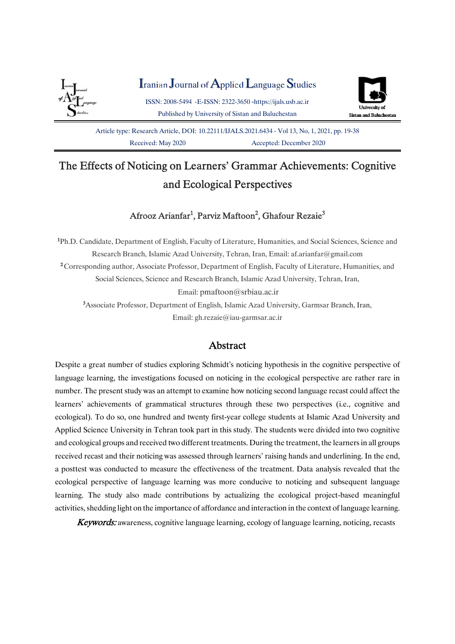

Iranian Journal of Applied Language Studies

ISSN:2008-5494-E-ISSN:2322-3650-https://ijals.usb.ac.ir Published by University of Sistan and Baluchestan



Article type: Research Article, DOI: 10.22111/JJALS.2021.6434 - Vol 13, No, 1, 2021, pp. 19-38 Received: May 2020<br>Accepted: December 2020

# The Effects of Noticing on Learners' Grammar Achievements: Cognitive and Ecological Perspectives

# Afrooz Arianfar<sup>1</sup>, Parviz Maftoon<sup>2</sup>, Ghafour Rezaie<sup>3</sup>

<sup>1</sup>Ph.D. Candidate, Department of English, Faculty of Literature, Humanities, and Social Sciences, Science and Research Branch, Islamic Azad University, Tehran, Iran, Email: af.arianfar@gmail.com <sup>2</sup> Corresponding author, Associate Professor, Department of English, Faculty of Literature, Humanities, and Social Sciences, Science and Research Branch, Islamic Azad University, Tehran, Iran, Email:pmaftoon@srbiau.ac.ir <sup>3</sup>Associate Professor, Department of English, Islamic Azad University, Garmsar Branch, Iran,

Email:gh.rezaie@iau-garmsar.ac.ir

# Abstract

Despite a great number of studies exploring Schmidt's noticing hypothesis in the cognitive perspective of language learning, the investigations focused on noticing in the ecological perspective are rather rare in number. The present study was an attempt to examine how noticing second language recast could affect the learners' achievements of grammatical structures through these two perspectives (i.e., cognitive and ecological). To do so, one hundred and twenty first-year college students at Islamic Azad University and Applied Science University in Tehran took part in this study. The students were divided into two cognitive and ecological groups and received two different treatments. During the treatment, the learners in all groups received recast and their noticing was assessed through learners' raising hands and underlining. In the end, a posttest was conducted to measure the effectiveness of the treatment. Data analysis revealed that the ecological perspective of language learning was more conducive to noticing and subsequent language learning. The study also made contributions by actualizing the ecological project-based meaningful activities, shedding light on the importance of affordance and interaction in the context of language learning.

Keywords: awareness, cognitive language learning, ecology of language learning, noticing, recasts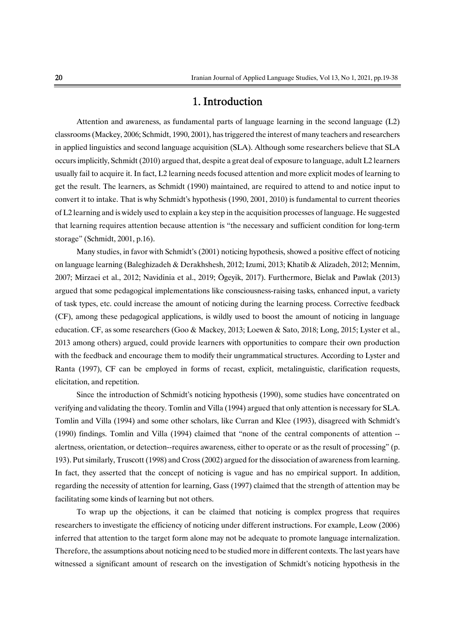# 1.Introduction

Attention and awareness, as fundamental parts of language learning in the second language  $(L2)$ classrooms (Mackey, 2006; Schmidt, 1990, 2001), has triggered the interest of many teachers and researchers in applied linguistics and second language acquisition (SLA). Although some researchers believe that SLA occurs implicitly, Schmidt (2010) argued that, despite a great deal of exposure to language, adult L2 learners usually fail to acquire it. In fact, L2 learning needs focused attention and more explicit modes of learning to get the result. The learners, as Schmidt (1990) maintained, are required to attend to and notice input to convert it to intake. That is why Schmidt's hypothesis (1990, 2001, 2010) is fundamental to current theories ofL2learningandiswidelyusedtoexplainakeystepintheacquisitionprocessesoflanguage.Hesuggested that learning requires attention because attention is "the necessary and sufficient condition for long-term storage" (Schmidt, 2001, p.16).

Many studies, in favor with Schmidt's (2001) noticing hypothesis, showed a positive effect of noticing on language learning (Baleghizadeh & Derakhshesh, 2012; Izumi, 2013; Khatib & Alizadeh, 2012; Mennim, 2007; Mirzaei et al., 2012; Navidinia et al., 2019; Ögeyik, 2017). Furthermore, Bielak and Pawlak (2013) argued that some pedagogical implementations like consciousness-raising tasks, enhanced input, a variety of task types, etc. could increase the amount of noticing during the learning process. Corrective feedback (CF), among these pedagogical applications, is wildly used to boost the amount of noticing in language education. CF, as some researchers (Goo & Mackey, 2013; Loewen & Sato, 2018; Long, 2015; Lyster et al., 2013 among others) argued, could provide learners with opportunities to compare their own production with the feedback and encourage them to modify their ungrammatical structures. According to Lyster and Ranta (1997), CF can be employed in forms of recast, explicit, metalinguistic, clarification requests, elicitation, and repetition.

Since the introduction of Schmidt's noticing hypothesis (1990), some studies have concentrated on verifying and validating the theory. Tomlin and Villa (1994) argued that only attention is necessary for SLA. Tomlin and Villa (1994) and some other scholars, like Curran and Klee (1993), disagreed with Schmidt's (1990) findings. Tomlin and Villa (1994) claimed that "none of the central components of attention - alertness, orientation, or detection--requires awareness, either to operate or as the result of processing" (p. 193). Put similarly, Truscott (1998) and Cross (2002) argued for the dissociation of awareness from learning. In fact, they asserted that the concept of noticing is vague and has no empirical support. In addition, regarding the necessity of attention for learning, Gass (1997) claimed that the strength of attention may be facilitating some kinds of learning but not others.

To wrap up the objections, it can be claimed that noticing is complex progress that requires researchers to investigate the efficiency of noticing under different instructions. For example, Leow (2006) inferred that attention to the target form alone may not be adequate to promote language internalization. Therefore, the assumptions about noticing need to be studied more in different contexts. The last years have witnessed a significant amount of research on the investigation of Schmidt's noticing hypothesis in the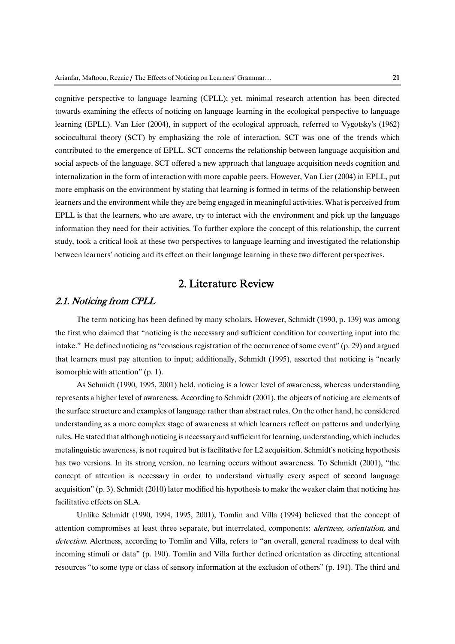cognitive perspective to language learning (CPLL); yet, minimal research attention has been directed towards examining the effects of noticing on language learning in the ecological perspective to language learning (EPLL). Van Lier (2004), in support of the ecological approach, referred to Vygotsky's (1962) sociocultural theory (SCT) by emphasizing the role of interaction. SCT was one of the trends which contributed to the emergence of EPLL. SCT concerns the relationship between language acquisition and social aspects of the language. SCT offered a new approach that language acquisition needs cognition and internalization in the form of interaction with more capable peers. However, Van Lier (2004) in EPLL, put more emphasis on the environment by stating that learning is formed in terms of the relationship between learners and the environment while they are being engaged in meaningful activities. What is perceived from EPLL is that the learners, who are aware, try to interact with the environment and pick up the language information they need for their activities. To further explore the concept of this relationship, the current study, took a critical look at these two perspectives to language learning and investigated the relationship between learners' noticing and its effect on their language learning in these two different perspectives.

# 2. Literature Review

### 2.1. Noticing from CPLL

The term noticing has been defined by many scholars. However, Schmidt (1990, p. 139) was among the first who claimed that "noticing is the necessary and sufficient condition for converting input into the intake." He defined noticing as "conscious registration of the occurrence of some event"  $(p. 29)$  and argued that learners must pay attention to input; additionally, Schmidt (1995), asserted that noticing is "nearly isomorphic with attention"  $(p, 1)$ .

As Schmidt (1990, 1995, 2001) held, noticing is a lower level of awareness, whereas understanding represents a higher level of awareness. According to Schmidt (2001), the objects of noticing are elements of the surface structure and examples of language rather than abstract rules. On the other hand, he considered understanding as a more complex stage of awareness at which learners reflect on patterns and underlying rules. He stated that although noticing is necessary and sufficient for learning, understanding, which includes metalinguistic awareness, is not required but is facilitative for L2 acquisition. Schmidt's noticing hypothesis has two versions. In its strong version, no learning occurs without awareness. To Schmidt (2001), "the concept of attention is necessary in order to understand virtually every aspect of second language acquisition" (p. 3). Schmidt (2010) later modified his hypothesis to make the weaker claim that noticing has facilitative effects on SLA.

Unlike Schmidt (1990, 1994, 1995, 2001), Tomlin and Villa (1994) believed that the concept of attention compromises at least three separate, but interrelated, components: *alertness, orientation*, and detection. Alertness, according to Tomlin and Villa, refers to "an overall, general readiness to deal with incoming stimuli or data" (p. 190). Tomlin and Villa further defined orientation as directing attentional resources "to some type or class of sensory information at the exclusion of others" (p. 191). The third and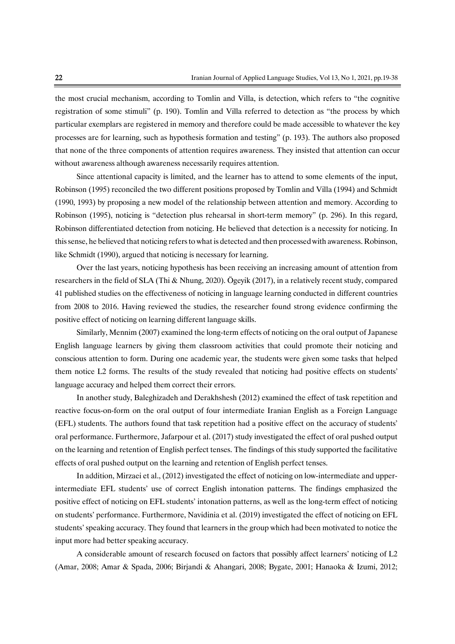the most crucial mechanism, according to Tomlin and Villa, is detection, which refers to "the cognitive" registration of some stimuli" (p. 190). Tomlin and Villa referred to detection as "the process by which particular exemplars are registered in memory and therefore could be made accessible to whatever the key processes are for learning, such as hypothesis formation and testing" (p. 193). The authors also proposed that none of the three components of attention requires awareness. They insisted that attention can occur without awareness although awareness necessarily requires attention.

Since attentional capacity is limited, and the learner has to attend to some elements of the input, Robinson (1995) reconciled the two different positions proposed by Tomlin and Villa (1994) and Schmidt (1990, 1993) by proposing a new model of the relationship between attention and memory. According to Robinson (1995), noticing is "detection plus rehearsal in short-term memory" (p. 296). In this regard, Robinson differentiated detection from noticing. He believed that detection is a necessity for noticing. In this sense, he believed that noticing refers to what is detected and then processed with awareness. Robinson, like Schmidt (1990), argued that noticing is necessary for learning.

Over the last years, noticing hypothesis has been receiving an increasing amount of attention from researchers in the field of SLA (Thi & Nhung, 2020). Ögeyik (2017), in a relatively recent study, compared 41 published studies on the effectiveness of noticing in language learning conducted in different countries from 2008 to 2016. Having reviewed the studies, the researcher found strong evidence confirming the positive effect of noticing on learning different language skills.

Similarly, Mennim (2007) examined the long-term effects of noticing on the oral output of Japanese English language learners by giving them classroom activities that could promote their noticing and conscious attention to form. During one academic year, the students were given some tasks that helped them notice L2 forms. The results of the study revealed that noticing had positive effects on students' language accuracy and helped them correct their errors.

In another study, Baleghizadeh and Derakhshesh (2012) examined the effect of task repetition and reactive focus-on-form on the oral output of four intermediate Iranian English as a Foreign Language (EFL) students. The authors found that task repetition had a positive effect on the accuracy of students' oral performance. Furthermore, Jafarpour et al. (2017) study investigated the effect of oral pushed output on the learning and retention of English perfect tenses. The findings of this study supported the facilitative effects of oral pushed output on the learning and retention of English perfect tenses.

In addition, Mirzaei et al., (2012) investigated the effect of noticing on low-intermediate and upperintermediate EFL students' use of correct English intonation patterns. The findings emphasized the positive effect of noticing on EFL students' intonation patterns, as well as the long-term effect of noticing on students' performance. Furthermore, Navidinia et al. (2019) investigated the effect of noticing on EFL students' speaking accuracy. They found that learners in the group which had been motivated to notice the input more had better speaking accuracy.

A considerable amount of research focused on factors that possibly affect learners' noticing of L2 (Amar,2008;Amar&Spada,2006;Birjandi&Ahangari,2008;Bygate,2001;Hanaoka& Izumi,2012;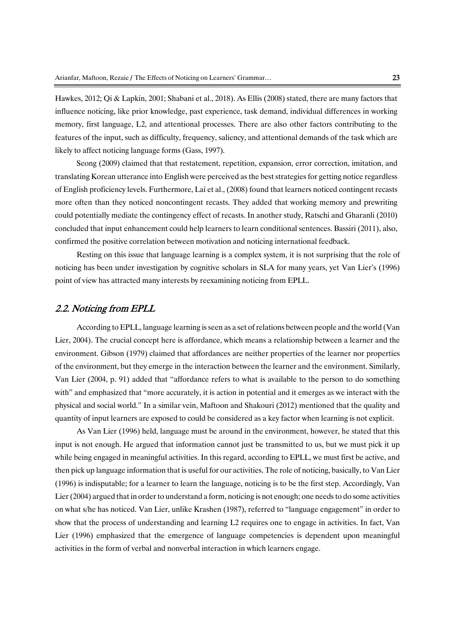Hawkes, 2012; Qi & Lapkin, 2001; Shabani et al., 2018). As Ellis (2008) stated, there are many factors that influence noticing, like prior knowledge, past experience, task demand, individual differences in working memory, first language, L2, and attentional processes. There are also other factors contributing to the features of the input, such as difficulty, frequency, saliency, and attentional demands of the task which are likely to affect noticing language forms (Gass, 1997).

Seong (2009) claimed that that restatement, repetition, expansion, error correction, imitation, and translating Korean utterance into English were perceived as the best strategies for getting notice regardless of English proficiency levels. Furthermore, Lai et al., (2008) found that learners noticed contingent recasts more often than they noticed noncontingent recasts. They added that working memory and prewriting could potentially mediate the contingency effect of recasts. In another study, Ratschi and Gharanli (2010) concluded that input enhancement could help learners to learn conditional sentences. Bassiri (2011), also, confirmed the positive correlation between motivation and noticing international feedback.

Resting on this issue that language learning is a complex system, it is not surprising that the role of noticing has been under investigation by cognitive scholars in SLA for many years, yet Van Lier's (1996) point of view has attracted many interests by reexamining noticing from EPLL.

#### 2.2. Noticing from EPLL

According to EPLL, language learning is seen as a set of relations between people and the world (Van Lier, 2004). The crucial concept here is affordance, which means a relationship between a learner and the environment. Gibson (1979) claimed that affordances are neither properties of the learner nor properties of the environment, but they emerge in the interaction between the learner and the environment. Similarly, Van Lier (2004, p. 91) added that "affordance refers to what is available to the person to do something with" and emphasized that "more accurately, it is action in potential and it emerges as we interact with the physical and social world." In a similar vein, Maftoon and Shakouri (2012) mentioned that the quality and quantity of input learners are exposed to could be considered as a key factor when learning is not explicit.

As Van Lier (1996) held, language must be around in the environment, however, he stated that this input is not enough. He argued that information cannot just be transmitted to us, but we must pick it up while being engaged in meaningful activities. In this regard, according to EPLL, we must first be active, and then pick up language information that is useful for our activities. The role of noticing, basically, to Van Lier (1996) is indisputable; for a learner to learn the language, noticing is to be the first step. Accordingly, Van Lier (2004) argued that in order to understand a form, noticing is not enough; one needs to do some activities on what s/he has noticed. Van Lier, unlike Krashen (1987), referred to "language engagement" in order to show that the process of understanding and learning L2 requires one to engage in activities. In fact, Van Lier (1996) emphasized that the emergence of language competencies is dependent upon meaningful activities in the form of verbal and nonverbal interaction in which learners engage.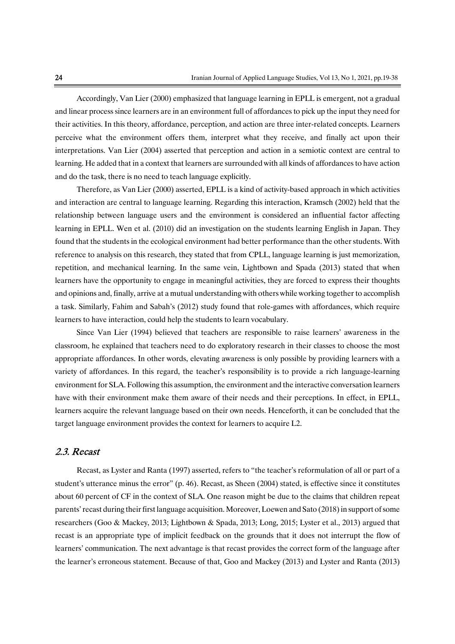Accordingly, Van Lier (2000) emphasized that language learning in EPLL is emergent, not a gradual and linear process since learners are in an environment full of affordances to pick up the input they need for their activities. In this theory, affordance, perception, and action are three inter-related concepts. Learners perceive what the environment offers them, interpret what they receive, and finally act upon their interpretations. Van Lier (2004) asserted that perception and action in a semiotic context are central to learning. He added that in a context that learners are surrounded with all kinds of affordances to have action and do the task, there is no need to teach language explicitly.

Therefore, as Van Lier (2000) asserted, EPLL is a kind of activity-based approach in which activities and interaction are central to language learning. Regarding this interaction, Kramsch (2002) held that the relationship between language users and the environment is considered an influential factor affecting learning in EPLL. Wen et al. (2010) did an investigation on the students learning English in Japan. They found that the students in the ecological environment had better performance than the other students. With reference to analysis on this research, they stated that from CPLL, language learning is just memorization, repetition, and mechanical learning. In the same vein, Lightbown and Spada (2013) stated that when learners have the opportunity to engage in meaningful activities, they are forced to express their thoughts and opinions and, finally, arrive at a mutual understanding with others while working together to accomplish a task. Similarly, Fahim and Sabah's (2012) study found that role-games with affordances, which require learners to have interaction, could help the students to learn vocabulary.

Since Van Lier (1994) believed that teachers are responsible to raise learners' awareness in the classroom, he explained that teachers need to do exploratory research in their classes to choose the most appropriate affordances. In other words, elevating awareness is only possible by providing learners with a variety of affordances. In this regard, the teacher's responsibility is to provide a rich language-learning environment for SLA. Following this assumption, the environment and the interactive conversation learners have with their environment make them aware of their needs and their perceptions. In effect, in EPLL, learners acquire the relevant language based on their own needs. Henceforth, it can be concluded that the target language environment provides the context for learners to acquire L2.

### 2.3.Recast

Recast, as Lyster and Ranta (1997) asserted, refers to "the teacher's reformulation of all or part of a student's utterance minus the error" (p. 46). Recast, as Sheen (2004) stated, is effective since it constitutes about 60 percent of CF in the context of SLA. One reason might be due to the claims that children repeat parents' recast during their first language acquisition. Moreover, Loewen and Sato (2018) in support of some researchers (Goo & Mackey, 2013; Lightbown & Spada, 2013; Long, 2015; Lyster et al., 2013) argued that recast is an appropriate type of implicit feedback on the grounds that it does not interrupt the flow of learners' communication. The next advantage is that recast provides the correct form of the language after the learner's erroneous statement. Because of that, Goo and Mackey (2013) and Lyster and Ranta (2013)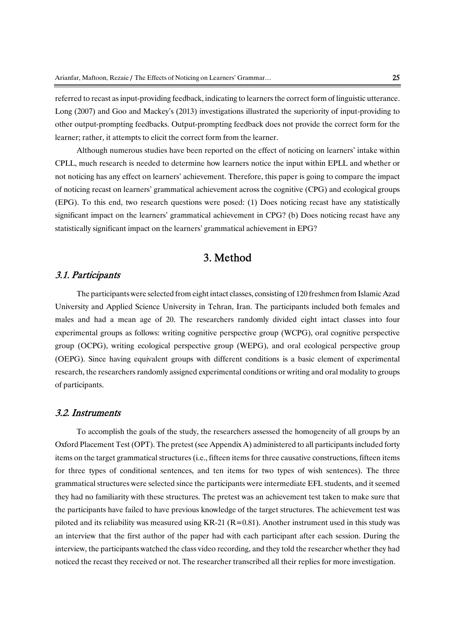referred to recast as input-providing feedback, indicating to learners the correct form of linguistic utterance. Long (2007) and Goo and Mackey's (2013) investigations illustrated the superiority of input-providing to other output-prompting feedbacks. Output-prompting feedback does not provide the correct form for the learner; rather, it attempts to elicit the correct form from the learner.

Although numerous studies have been reported on the effect of noticing on learners' intake within CPLL, much research is needed to determine how learners notice the input within EPLL and whether or not noticing has any effect on learners' achievement. Therefore, this paper is going to compare the impact of noticing recast on learners' grammatical achievement across the cognitive (CPG) and ecological groups (EPG). To this end, two research questions were posed: (1) Does noticing recast have any statistically significant impact on the learners' grammatical achievement in CPG? (b) Does noticing recast have any statistically significant impact on the learners' grammatical achievement in EPG?

# 3.Method

### 3.1.Participants

The participants were selected from eight intact classes, consisting of 120 freshmen from Islamic Azad University and Applied Science University in Tehran, Iran. The participants included both females and males and had a mean age of 20. The researchers randomly divided eight intact classes into four experimental groups as follows: writing cognitive perspective group (WCPG), oral cognitive perspective group (OCPG), writing ecological perspective group (WEPG), and oral ecological perspective group (OEPG). Since having equivalent groups with different conditions is a basic element of experimental research, the researchers randomly assigned experimental conditions or writing and oral modality to groups of participants.

#### 3.2.Instruments

To accomplish the goals of the study, the researchers assessed the homogeneity of all groups by an Oxford Placement Test (OPT). The pretest (see Appendix A) administered to all participants included forty items on the target grammatical structures (i.e., fifteen items for three causative constructions, fifteen items for three types of conditional sentences, and ten items for two types of wish sentences). The three grammatical structures were selected since the participants were intermediate EFL students, and it seemed they had no familiarity with these structures. The pretest was an achievement test taken to make sure that the participants have failed to have previous knowledge of the target structures. The achievement test was piloted and its reliability was measured using KR-21 ( $R=0.81$ ). Another instrument used in this study was an interview that the first author of the paper had with each participant after each session. During the interview, the participants watched the class video recording, and they told the researcher whether they had noticed the recast they received or not. The researcher transcribed all their replies for more investigation.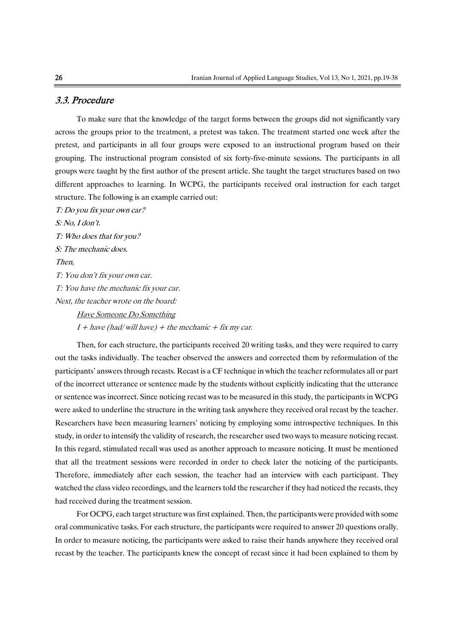## 3.3.Procedure

To make sure that the knowledge of the target forms between the groups did not significantly vary across the groups prior to the treatment, a pretest was taken. The treatment started one week after the pretest, and participants in all four groups were exposed to an instructional program based on their grouping. The instructional program consisted of six forty-five-minute sessions. The participants in all groups were taught by the first author of the present article. She taught the target structures based on two different approaches to learning. In WCPG, the participants received oral instruction for each target structure. The following is an example carried out:

T: Do you fix your own car? S:No,Idon't. T: Who does that for you? S: The mechanic does. Then, T: You don't fix your own car. T: You have the mechanic fix your car. Next, the teacher wrote on the board: Have Someone Do Something  $I + \text{have (had/will have)} + \text{the mechanic} + \text{fix my car}.$ 

Then, for each structure, the participants received 20 writing tasks, and they were required to carry out the tasks individually. The teacher observed the answers and corrected them by reformulation of the participants' answers through recasts. Recast is a CF technique in which the teacher reformulates all or part of the incorrect utterance or sentence made by the students without explicitly indicating that the utterance or sentence was incorrect. Since noticing recast was to be measured in this study, the participants in WCPG were asked to underline the structure in the writing task anywhere they received oral recast by the teacher. Researchers have been measuring learners' noticing by employing some introspective techniques. In this study, in order to intensify the validity of research, the researcher used two ways to measure noticing recast. In this regard, stimulated recall was used as another approach to measure noticing. It must be mentioned that all the treatment sessions were recorded in order to check later the noticing of the participants. Therefore, immediately after each session, the teacher had an interview with each participant. They watched the class video recordings, and the learners told the researcher if they had noticed the recasts, they had received during the treatment session.

For OCPG, each target structure was first explained. Then, the participants were provided with some oral communicative tasks. For each structure, the participants were required to answer 20 questions orally. In order to measure noticing, the participants were asked to raise their hands anywhere they received oral recast by the teacher. The participants knew the concept of recast since it had been explained to them by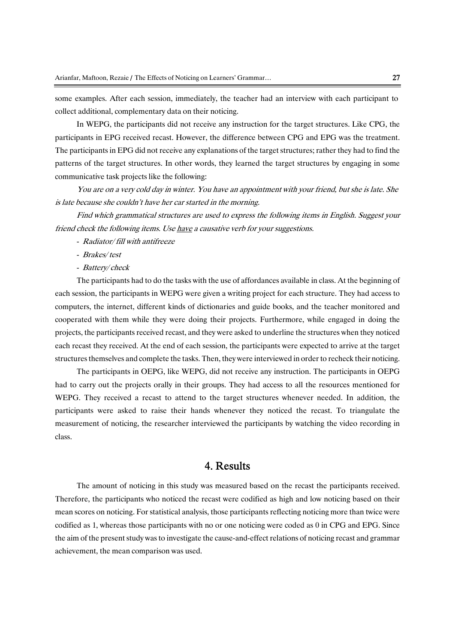some examples. After each session, immediately, the teacher had an interview with each participant to collect additional, complementary data on their noticing.

In WEPG, the participants did not receive any instruction for the target structures. Like CPG, the participants in EPG received recast. However, the difference between CPG and EPG was the treatment. The participants in EPG did not receive any explanations of the target structures; rather they had to find the patterns of the target structures. In other words, they learned the target structures by engaging in some communicative task projects like the following:

You are on a very cold day in winter. You have an appointment with your friend, but she is late. She is late because she couldn't have her car started in the morning.

Find which grammatical structures are used to express the following items in English. Suggest your friend check the following items. Use have a causative verb for your suggestions.

- Radiator/fill with antifreeze
- Brakes/test
- Battery/check

The participants had to do the tasks with the use of affordances available in class. At the beginning of each session, the participants in WEPG were given a writing project for each structure. They had access to computers, the internet, different kinds of dictionaries and guide books, and the teacher monitored and cooperated with them while they were doing their projects. Furthermore, while engaged in doing the projects, the participants received recast, and they were asked to underline the structures when they noticed each recast they received. At the end of each session, the participants were expected to arrive at the target structures themselves and complete the tasks. Then, they were interviewed in order to recheck their noticing.

The participants in OEPG, like WEPG, did not receive any instruction. The participants in OEPG had to carry out the projects orally in their groups. They had access to all the resources mentioned for WEPG. They received a recast to attend to the target structures whenever needed. In addition, the participants were asked to raise their hands whenever they noticed the recast. To triangulate the measurement of noticing, the researcher interviewed the participants by watching the video recording in class.

# 4.Results

The amount of noticing in this study was measured based on the recast the participants received. Therefore, the participants who noticed the recast were codified as high and low noticing based on their mean scores on noticing. For statistical analysis, those participants reflecting noticing more than twice were codified as 1, whereas those participants with no or one noticing were coded as  $0$  in CPG and EPG. Since the aim of the present study was to investigate the cause-and-effect relations of noticing recast and grammar achievement, the mean comparison was used.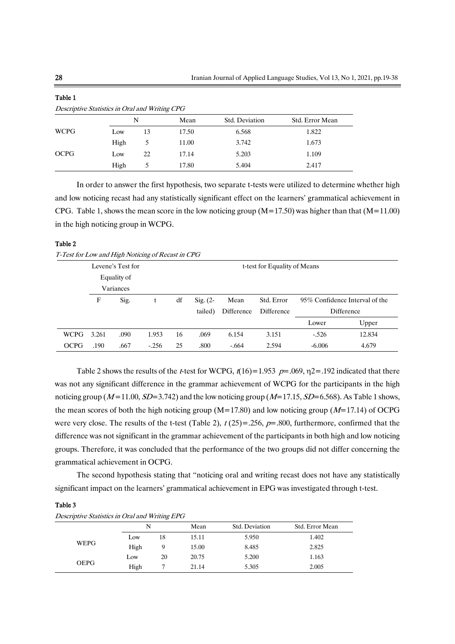| Descriptive Statistics in Oral and Writing CPG |      |    |       |                |                 |  |  |  |
|------------------------------------------------|------|----|-------|----------------|-----------------|--|--|--|
|                                                |      | N  | Mean  | Std. Deviation | Std. Error Mean |  |  |  |
| <b>WCPG</b>                                    | Low  | 13 | 17.50 | 6.568          | 1.822           |  |  |  |
|                                                | High |    | 11.00 | 3.742          | 1.673           |  |  |  |
| <b>OCPG</b>                                    | Low  | 22 | 17.14 | 5.203          | 1.109           |  |  |  |
|                                                | High |    | 17.80 | 5.404          | 2.417           |  |  |  |

In order to answer the first hypothesis, two separate t-tests were utilized to determine whether high and low noticing recast had any statistically significant effect on the learners' grammatical achievement in CPG. Table 1, shows the mean score in the low noticing group ( $M=17.50$ ) was higher than that ( $M=11.00$ ) in the high noticing group in WCPG.

#### Table 2

Table1

T-Test for Low and High Noticing of Recast in CPG

|             |       | Levene's Test for |         | t-test for Equality of Means |                     |            |            |            |                                |  |
|-------------|-------|-------------------|---------|------------------------------|---------------------|------------|------------|------------|--------------------------------|--|
|             |       | Equality of       |         |                              |                     |            |            |            |                                |  |
|             |       | Variances         |         |                              |                     |            |            |            |                                |  |
|             | F     | Sig.              |         | df                           | $\mathrm{Sig.}$ (2- | Mean       | Std. Error |            | 95% Confidence Interval of the |  |
|             |       |                   |         |                              | tailed)             | Difference | Difference | Difference |                                |  |
|             |       |                   |         |                              |                     |            |            | Lower      | Upper                          |  |
| <b>WCPG</b> | 3.261 | .090              | 1.953   | 16                           | .069                | 6.154      | 3.151      | $-.526$    | 12.834                         |  |
| <b>OCPG</b> | .190  | .667              | $-.256$ | 25                           | .800                | $-.664$    | 2.594      | $-6.006$   | 4.679                          |  |

Table 2 shows the results of the *t*-test for WCPG,  $t(16)=1.953$   $p=.069$ ,  $\eta$ 2=.192 indicated that there was not any significant difference in the grammar achievement of WCPG for the participants in the high noticing group ( $M=11.00$ ,  $SD=3.742$ ) and the low noticing group ( $M=17.15$ ,  $SD=6.568$ ). As Table 1 shows, the mean scores of both the high noticing group (M=17.80) and low noticing group ( $M=17.14$ ) of OCPG were very close. The results of the t-test (Table 2),  $t(25)=.256$ ,  $p=.800$ , furthermore, confirmed that the difference was not significant in the grammar achievement of the participants in both high and low noticing groups. Therefore, it was concluded that the performance of the two groups did not differ concerning the grammatical achievement in OCPG.

The second hypothesis stating that "noticing oral and writing recast does not have any statistically significant impact on the learners' grammatical achievement in EPG was investigated through t-test.

#### Table 3

Descriptive Statistics in Oral and Writing EPG

|             | N    | ຼ  |       | Std. Deviation | Std. Error Mean |  |
|-------------|------|----|-------|----------------|-----------------|--|
| <b>WEPG</b> | Low  | 18 | 15.11 | 5.950          | 1.402           |  |
|             | High |    | 15.00 | 8.485          | 2.825           |  |
| <b>OEPG</b> | Low  | 20 | 20.75 | 5.200          | 1.163           |  |
|             | High |    | 21.14 | 5.305          | 2.005           |  |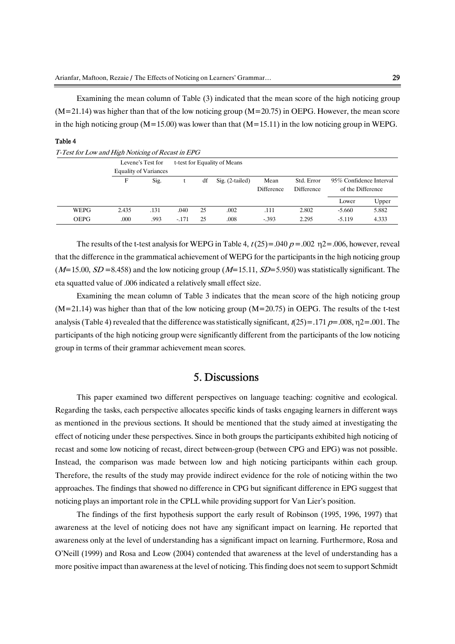Examining the mean column of Table  $(3)$  indicated that the mean score of the high noticing group  $(M=21.14)$  was higher than that of the low noticing group  $(M=20.75)$  in OEPG. However, the mean score in the high noticing group ( $M=15.00$ ) was lower than that ( $M=15.11$ ) in the low noticing group in WEPG.

#### Table 4

|             | Levene's Test for            |      |         |    | t-test for Equality of Means |                    |                          |                                              |       |
|-------------|------------------------------|------|---------|----|------------------------------|--------------------|--------------------------|----------------------------------------------|-------|
|             | <b>Equality of Variances</b> |      |         |    |                              |                    |                          |                                              |       |
|             | F                            | Sig. |         | df | Sig. (2-tailed)              | Mean<br>Difference | Std. Error<br>Difference | 95% Confidence Interval<br>of the Difference |       |
|             |                              |      |         |    |                              |                    |                          | Lower                                        | Upper |
| WEPG        | 2.435                        | .131 | .040    | 25 | .002                         | .111               | 2.802                    | $-5.660$                                     | 5.882 |
| <b>OEPG</b> | .000                         | .993 | $-.171$ | 25 | .008                         | $-.393$            | 2.295                    | $-5.119$                                     | 4.333 |

| T-Test for Low and High Noticing of Recast in EPG |  |  |
|---------------------------------------------------|--|--|
|---------------------------------------------------|--|--|

The results of the t-test analysis for WEPG in Table 4,  $t(25)=.040 p = .002 p = .006$ , however, reveal that the difference in the grammatical achievement of WEPG for the participants in the high noticing group  $(M=15.00, SD=8.458)$  and the low noticing group  $(M=15.11, SD=5.950)$  was statistically significant. The eta squatted value of .006 indicated a relatively small effect size.

Examining the mean column of Table 3 indicates that the mean score of the high noticing group  $(M=21.14)$  was higher than that of the low noticing group  $(M=20.75)$  in OEPG. The results of the t-test analysis (Table 4) revealed that the difference was statistically significant,  $t(25)=.171 p=.008, \eta_2=.001$ . The participants of the high noticing group were significantly different from the participants of the low noticing group in terms of their grammar achievement mean scores.

## 5.Discussions

This paper examined two different perspectives on language teaching: cognitive and ecological. Regarding the tasks, each perspective allocates specific kinds of tasks engaging learners in different ways as mentioned in the previous sections. It should be mentioned that the study aimed at investigating the effect of noticing under these perspectives. Since in both groups the participants exhibited high noticing of recast and some low noticing of recast, direct between-group (between CPG and EPG) was not possible. Instead, the comparison was made between low and high noticing participants within each group. Therefore, the results of the study may provide indirect evidence for the role of noticing within the two approaches. The findings that showed no difference in CPG but significant difference in EPG suggest that noticing plays an important role in the CPLL while providing support for Van Lier's position.

The findings of the first hypothesis support the early result of Robinson (1995,1996, 1997) that awareness at the level of noticing does not have any significant impact on learning. He reported that awareness only at the level of understanding has a significant impact on learning. Furthermore, Rosa and  $O'Neill$  (1999) and Rosa and Leow (2004) contended that awareness at the level of understanding has a more positive impact than awareness at the level of noticing. This finding does not seem to support Schmidt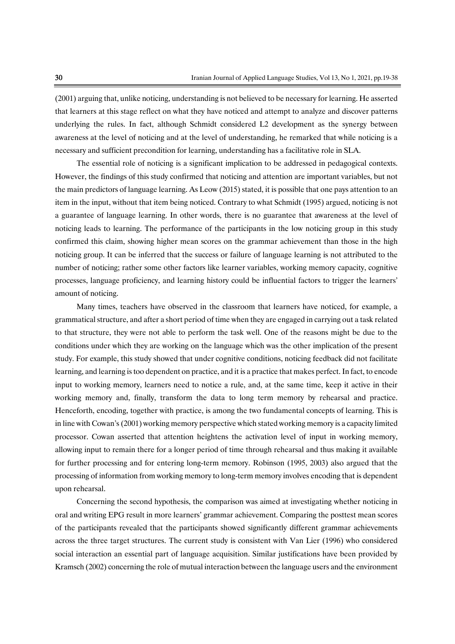$(2001)$  arguing that, unlike noticing, understanding is not believed to be necessary for learning. He asserted that learners at this stage reflect on what they have noticed and attempt to analyze and discover patterns underlying the rules. In fact, although Schmidt considered L2 development as the synergy between awareness at the level of noticing and at the level of understanding, he remarked that while noticing is a necessary and sufficient precondition for learning, understanding has a facilitative role in SLA.

The essential role of noticing is a significant implication to be addressed in pedagogical contexts. However, the findings of this study confirmed that noticing and attention are important variables, but not the main predictors of language learning. As Leow  $(2015)$  stated, it is possible that one pays attention to an item in the input, without that item being noticed. Contrary to what Schmidt (1995) argued, noticing is not a guarantee of language learning. In other words, there is no guarantee that awareness at the level of noticing leads to learning. The performance of the participants in the low noticing group in this study confirmed this claim, showing higher mean scores on the grammar achievement than those in the high noticing group. It can be inferred that the success or failure of language learning is not attributed to the number of noticing; rather some other factors like learner variables, working memory capacity, cognitive processes, language proficiency, and learning history could be influential factors to trigger the learners' amount of noticing.

Many times, teachers have observed in the classroom that learners have noticed, for example, a grammatical structure, and after a short period of time when they are engaged in carrying out a task related to that structure, they were not able to perform the task well. One of the reasons might be due to the conditions under which they are working on the language which was the other implication of the present study. For example, this study showed that under cognitive conditions, noticing feedback did not facilitate learning, and learning is too dependent on practice, and it is a practice that makes perfect. In fact, to encode input to working memory, learners need to notice a rule, and, at the same time, keep it active in their working memory and, finally, transform the data to long term memory by rehearsal and practice. Henceforth, encoding, together with practice, is among the two fundamental concepts of learning. This is in line with Cowan's (2001) working memory perspective which stated working memory is a capacity limited processor. Cowan asserted that attention heightens the activation level of input in working memory, allowing input to remain there for a longer period of time through rehearsal and thus making it available for further processing and for entering long-term memory. Robinson (1995, 2003) also argued that the processing of information from working memory to long-term memory involves encoding that is dependent upon rehearsal.

Concerning the second hypothesis, the comparison was aimed at investigating whether noticing in oral and writing EPG result in more learners' grammar achievement. Comparing the posttest mean scores of the participants revealed that the participants showed significantly different grammar achievements across the three target structures. The current study is consistent with Van Lier (1996) who considered social interaction an essential part of language acquisition. Similar justifications have been provided by Kramsch (2002) concerning the role of mutual interaction between the language users and the environment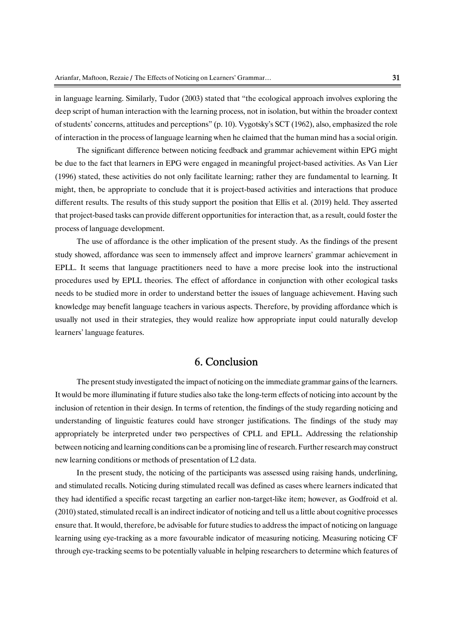in language learning. Similarly, Tudor (2003) stated that "the ecological approach involves exploring the deep script of human interaction with the learning process, not in isolation, but within the broader context of students' concerns, attitudes and perceptions" (p. 10). Vygotsky's SCT (1962), also, emphasized the role of interaction in the process of language learning when he claimed that the human mind has a social origin.

The significant difference between noticing feedback and grammar achievement within EPG might be due to the fact that learners in EPG were engaged in meaningful project-based activities. As Van Lier (1996) stated, these activities do not only facilitate learning; rather they are fundamental to learning. It might, then, be appropriate to conclude that it is project-based activities and interactions that produce different results. The results of this study support the position that Ellis et al. (2019) held. They asserted that project-based tasks can provide different opportunities for interaction that, as a result, could foster the process of language development.

The use of affordance is the other implication of the present study. As the findings of the present study showed, affordance was seen to immensely affect and improve learners' grammar achievement in EPLL. It seems that language practitioners need to have a more precise look into the instructional procedures used by EPLL theories. The effect of affordance in conjunction with other ecological tasks needs to be studied more in order to understand better the issues of language achievement. Having such knowledge may benefit language teachers in various aspects. Therefore, by providing affordance which is usually not used in their strategies, they would realize how appropriate input could naturally develop learners' language features.

### 6.Conclusion

The present study investigated the impact of noticing on the immediate grammar gains of the learners. It would be more illuminating if future studies also take the long-term effects of noticing into account by the inclusion of retention in their design. In terms of retention, the findings of the study regarding noticing and understanding of linguistic features could have stronger justifications. The findings of the study may appropriately be interpreted under two perspectives of CPLL and EPLL. Addressing the relationship between noticing and learning conditions can be a promising line of research. Further research may construct new learning conditions or methods of presentation of L2 data.

In the present study, the noticing of the participants was assessed using raising hands, underlining, and stimulated recalls. Noticing during stimulated recall was defined as cases where learners indicated that they had identified a specific recast targeting an earlier non-target-like item; however, as Godfroid et al. (2010) stated, stimulated recall is an indirect indicator of noticing and tell us a little about cognitive processes ensure that. It would, therefore, be advisable for future studies to address the impact of noticing on language learning using eye-tracking as a more favourable indicator of measuring noticing. Measuring noticing CF through eye-tracking seems to be potentially valuable in helping researchers to determine which features of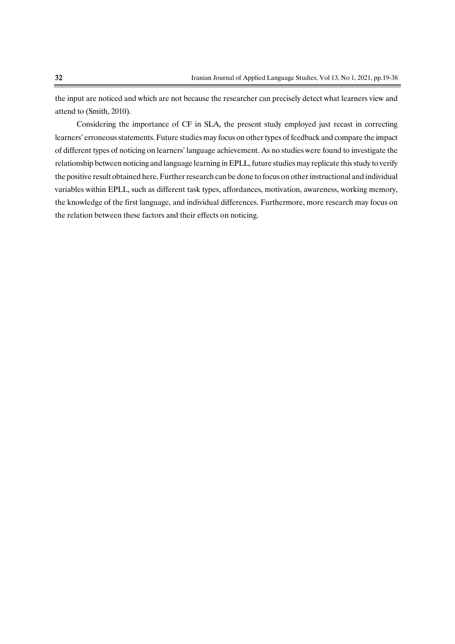the input are noticed and which are not because the researcher can precisely detect what learners view and attend to (Smith, 2010).

Considering the importance of CF in SLA, the present study employed just recast in correcting learners' erroneous statements. Future studies may focus on other types of feedback and compare the impact of different types of noticing on learners' language achievement. As no studies were found to investigate the relationship between noticing and language learning in EPLL, future studies may replicate this study to verify the positive result obtained here. Further research can be done to focus on other instructional and individual variables within EPLL, such as different task types, affordances, motivation, awareness, working memory, the knowledge of the first language, and individual differences. Furthermore, more research may focus on the relation between these factors and their effects on noticing.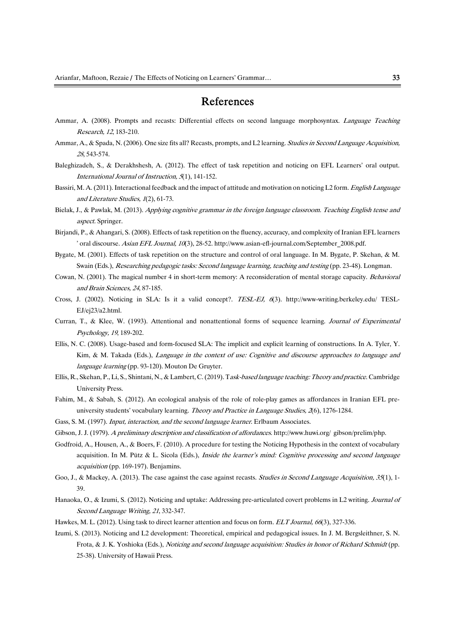# References

- Ammar, A. (2008). Prompts and recasts: Differential effects on second language morphosyntax. Language Teaching Research,12,183-210.
- Ammar, A., & Spada, N. (2006). One size fits all? Recasts, prompts, and L2 learning. Studies in Second Language Acquisition, <sup>28</sup>,543-574.
- Baleghizadeh, S., & Derakhshesh, A. (2012). The effect of task repetition and noticing on EFL Learners' oral output. International Journal of Instruction,  $5(1)$ , 141-152.
- Bassiri, M.A. (2011). Interactional feedback and the impact of attitude and motivation on noticing L2 form. English Language and Literature Studies, 1(2), 61-73.
- Bielak, J., & Pawlak, M. (2013). Applying cognitive grammar in the foreign language classroom. Teaching English tense and aspect.Springer.
- Birjandi, P., & Ahangari, S. (2008). Effects of task repetition on the fluency, accuracy, and complexity of Iranian EFL learners ' oral discourse. Asian EFL Journal, 10(3), 28-52. http://www.asian-efl-journal.com/September\_2008.pdf.
- Bygate, M. (2001). Effects of task repetition on the structure and control of oral language. In M. Bygate, P. Skehan, & M. Swain (Eds.), Researching pedagogic tasks: Second language learning, teaching and testing (pp. 23-48). Longman.
- Cowan, N. (2001). The magical number 4 in short-term memory: A reconsideration of mental storage capacity. Behavioral and Brain Sciences, 24, 87-185.
- Cross, J. (2002). Noticing in SLA: Is it a valid concept?. TESL-EJ, <sup>6</sup>(3). http://www-writing.berkeley.edu/ TESL-EJ/ej23/a2.html.
- Curran, T., & Klee, W. (1993). Attentional and nonattentional forms of sequence learning. Journal of Experimental Psychology,19,189-202.
- Ellis, N. C. (2008). Usage-based and form-focused SLA: The implicit and explicit learning of constructions. In A. Tyler, Y. Kim, & M. Takada (Eds.), Language in the context of use: Cognitive and discourse approaches to language and language learning (pp. 93-120). Mouton De Gruyter.
- Ellis, R., Skehan, P., Li, S., Shintani, N., & Lambert, C. (2019). Task-based language teaching: Theory and practice. Cambridge University Press.
- Fahim, M., & Sabah, S. (2012). An ecological analysis of the role of role-play games as affordances in Iranian EFL preuniversity students' vocabulary learning. Theory and Practice in Language Studies,  $\mathcal{A}(6)$ , 1276-1284.
- Gass, S. M. (1997). Input, interaction, and the second language learner. Erlbaum Associates.
- Gibson, J. J. (1979). A preliminary description and classification of affordances. http://www.huwi.org/gibson/prelim/php.
- Godfroid, A., Housen, A., & Boers, F. (2010). A procedure for testing the Noticing Hypothesis in the context of vocabulary acquisition. In M. Pütz & L. Sicola (Eds.), *Inside the learner's mind: Cognitive processing and second language* acquisition (pp. 169-197). Benjamins.
- Goo, J., & Mackey, A. (2013). The case against the case against recasts. Studies in Second Language Acquisition, 35(1), 1-39.
- Hanaoka, O., & Izumi, S. (2012). Noticing and uptake: Addressing pre-articulated covert problems in L2 writing. Journal of Second Language Writing, 21, 332-347.
- Hawkes, M. L. (2012). Using task to direct learner attention and focus on form. ELT Journal, 66(3), 327-336.
- Izumi, S. (2013). Noticing and L2 development: Theoretical, empirical and pedagogical issues. In J. M. Bergsleithner, S. N. Frota, & J. K. Yoshioka (Eds.), Noticing and second language acquisition: Studies in honor of Richard Schmidt (pp. 25-38). University of Hawaii Press.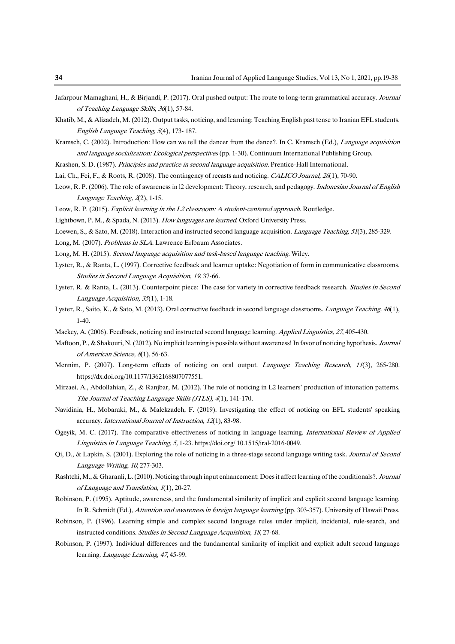- Jafarpour Mamaghani, H., & Birjandi, P. (2017). Oral pushed output: The route to long-term grammatical accuracy. Journal of Teaching Language Skills, 36(1), 57-84.
- Khatib, M., & Alizadeh, M. (2012). Output tasks, noticing, and learning: Teaching English past tense to Iranian EFL students. English Language Teaching, 5(4), 173-187.
- Kramsch, C. (2002). Introduction: How can we tell the dancer from the dance?. In C. Kramsch (Ed.), Language acquisition and language socialization: Ecological perspectives (pp. 1-30). Continuum International Publishing Group.
- Krashen, S. D. (1987). Principles and practice in second language acquisition. Prentice-Hall International.
- Lai, Ch., Fei, F., & Roots, R. (2008). The contingency of recasts and noticing. CALICO Journal, 26(1), 70-90.
- Leow, R.P. (2006). The role of awareness in 12 development: Theory, research, and pedagogy. Indonesian Journal of English Language Teaching,  $2(2)$ , 1-15.
- Leow, R.P. (2015). Explicit learning in the L2 classroom: A student-centered approach. Routledge.
- Lightbown, P. M., & Spada, N. (2013). How languages are learned. Oxford University Press.
- Loewen, S., & Sato, M. (2018). Interaction and instructed second language acquisition. *Language Teaching, 51*(3), 285-329.
- Long, M. (2007). Problems in SLA. Lawrence Erlbaum Associates.
- Long, M. H. (2015). Second language acquisition and task-based language teaching. Wiley.
- Lyster, R., & Ranta, L. (1997). Corrective feedback and learner uptake: Negotiation of form in communicative classrooms. Studies in Second Language Acquisition, 19, 37-66.
- Lyster, R. & Ranta, L. (2013). Counterpoint piece: The case for variety in corrective feedback research. Studies in Second Language Acquisition, 35(1), 1-18.
- Lyster, R., Saito, K., & Sato, M. (2013). Oral corrective feedback in second language classrooms. Language Teaching, 46(1), 1-40.
- Mackey, A. (2006). Feedback, noticing and instructed second language learning. Applied Linguistics, 27, 405-430.
- Maftoon, P., & Shakouri, N. (2012). No implicit learning is possible without awareness! In favor of noticing hypothesis. Journal of American Science, 8(1), 56-63.
- Mennim, P. (2007). Long-term effects of noticing on oral output. *Language Teaching Research*, 11(3), 265-280. https://dx.doi.org/10.1177/1362168807077551.
- Mirzaei, A., Abdollahian, Z., & Ranjbar, M. (2012). The role of noticing in L2 learners' production of intonation patterns. The Journal of Teaching Language Skills (JTLS), 4(1), 141-170.
- Navidinia, H., Mobaraki, M., & Malekzadeh, F. (2019). Investigating the effect of noticing on EFL students' speaking accuracy. International Journal of Instruction, 12(1), 83-98.
- Ögeyik, M. C. (2017). The comparative effectiveness of noticing in language learning.International Review of Applied Linguistics in Language Teaching, 5, 1-23. https://doi.org/ 10.1515/iral-2016-0049.
- Qi, D., & Lapkin, S. (2001). Exploring the role of noticing in a three-stage second language writing task. Journal of Second Language Writing, 10, 277-303.
- Rashtchi, M., & Gharanli, L. (2010). Noticing through input enhancement: Does it affect learning of the conditionals?. Journal of Language and Translation, 1(1), 20-27.
- Robinson, P. (1995). Aptitude, awareness, and the fundamental similarity of implicit and explicit second language learning. In R. Schmidt (Ed.), Attention and awareness in foreign language learning (pp. 303-357). University of Hawaii Press.
- Robinson, P. (1996). Learning simple and complex second language rules under implicit, incidental, rule-search, and instructed conditions. Studies in Second Language Acquisition, 18, 27-68.
- Robinson, P. (1997). Individual differences and the fundamental similarity of implicit and explicit adult second language learning. Language Learning, 47, 45-99.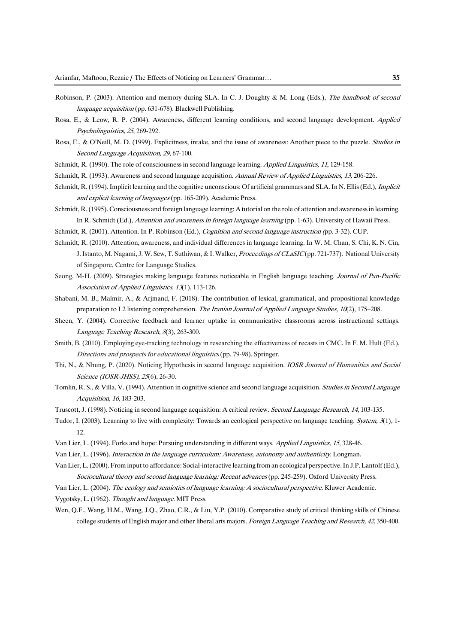- Robinson, P. (2003). Attention and memory during SLA. In C. J. Doughty & M. Long (Eds.), The handbook of second language acquisition (pp. 631-678). Blackwell Publishing.
- Rosa, E., & Leow, R. P. (2004). Awareness, different learning conditions, and second language development. Applied Psycholinguistics,25,269-292.
- Rosa, E., & O'Neill, M. D. (1999). Explicitness, intake, and the issue of awareness: Another piece to the puzzle. Studies in Second Language Acquisition, 29, 67-100.
- Schmidt, R. (1990). The role of consciousness in second language learning. Applied Linguistics, 11, 129-158.
- Schmidt, R. (1993). Awareness and second language acquisition. Annual Review of Applied Linguistics, 13, 206-226.
- Schmidt, R. (1994). Implicit learning and the cognitive unconscious: Of artificial grammars and SLA. In N. Ellis (Ed.), *Implicit* and explicit learning of languages (pp. 165-209). Academic Press.
- Schmidt, R. (1995). Consciousness and foreign language learning: A tutorial on the role of attention and awareness in learning. In R. Schmidt (Ed.), Attention and awareness in foreign language learning (pp. 1-63). University of Hawaii Press.
- Schmidt, R. (2001). Attention. In P. Robinson (Ed.), *Cognition and second language instruction (pp.* 3-32). CUP.
- Schmidt, R. (2010). Attention, awareness, and individual differences in language learning. In W. M. Chan, S. Chi, K. N. Cin, J. Istanto, M. Nagami, J. W. Sew, T. Suthiwan, & I. Walker, *Proceedings of CLaSIC*(pp. 721-737). National University of Singapore, Centre for Language Studies.
- Seong, M-H. (2009). Strategies making language features noticeable in English language teaching. Journal of Pan-Pacific Association of Applied Linguistics, 13(1), 113-126.
- Shabani, M. B., Malmir, A., & Arjmand, F. (2018). The contribution of lexical, grammatical, and propositional knowledge preparation to L2 listening comprehension. The Iranian Journal of Applied Language Studies,  $10(2)$ , 175–208.
- Sheen, Y. (2004). Corrective feedback and learner uptake in communicative classrooms across instructional settings. Language Teaching Research, 8(3), 263-300.
- Smith, B. (2010). Employing eye-tracking technology in researching the effectiveness of recasts in CMC. In F. M. Hult (Ed.), Directions and prospects for educational linguistics (pp. 79-98). Springer.
- Thi, N., & Nhung, P. (2020). Noticing Hypothesis in second language acquisition. *IOSR Journal of Humanities and Social* Science (IOSR-JHSS), 25(6), 26-30.
- Tomlin, R.S., & Villa, V. (1994). Attention in cognitive science and second language acquisition. Studies in Second Language Acquisition,16,183-203.
- Truscott, J. (1998). Noticing in second language acquisition: A critical review. Second Language Research, 14, 103-135.
- Tudor, I. (2003). Learning to live with complexity: Towards an ecological perspective on language teaching. System, 3(1), 1-12.
- Van Lier, L. (1994). Forks and hope: Pursuing understanding in different ways. Applied Linguistics, 15, 328-46.
- Van Lier, L. (1996). Interaction in the language curriculum: Awareness, autonomy and authenticity. Longman.
- VanLier,L.(2000).Frominputtoaffordance:Social-interactivelearningfromanecologicalperspective.InJ.P.Lantolf(Ed.), Sociocultural theory and second language learning: Recent advances (pp. 245-259). Oxford University Press.
- Van Lier, L. (2004). The ecology and semiotics of language learning: A sociocultural perspective. Kluwer Academic.
- Vygotsky, L. (1962). Thought and language. MIT Press.
- Wen, Q.F., Wang, H.M., Wang, J.Q., Zhao, C.R., & Liu, Y.P. (2010). Comparative study of critical thinking skills of Chinese college students of English major and other liberal arts majors. Foreign Language Teaching and Research, 42, 350-400.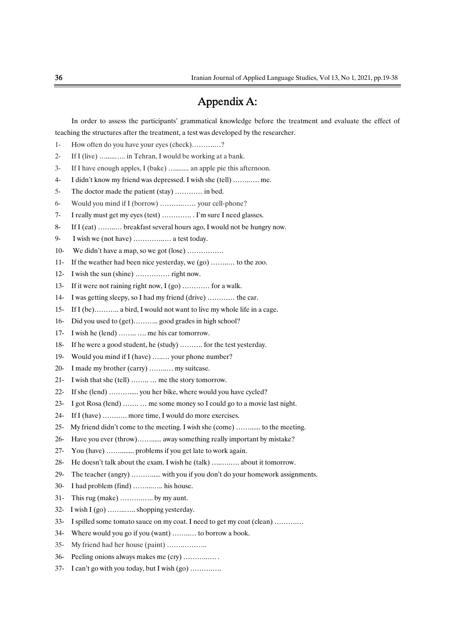# AppendixA:

 In order to assess the participants' grammatical knowledge before the treatment and evaluate the effect of teaching the structures after the treatment, a test was developed by the researcher.

- 1- How often do you have your eyes (check)…………?
- 2- IfI(live)….....…..inTehran,Iwouldbeworkingatabank.
- 3- If I have enough apples, I (bake) …......... an apple pie this afternoon.
- 4- I didn't know my friend was depressed. I wish she (tell) …………. me.
- 5- The doctor made the patient (stay) ………… in bed.
- 6- WouldyoumindifI(borrow)……….……yourcell-phone?
- 7- Ireallymustgetmyeyes(test)…………..I'msureIneedglasses.
- 8- If I (eat) ……... breakfast several hours ago, I would not be hungry now.
- 9- Iwishwe(nothave)…………..…atesttoday.
- 10- We didn't have a map, so we got (lose) ................
- 11- If the weather had been nice yesterday, we (go) .......... to the zoo.
- 12- I wish the sun (shine) …………… right now.
- 13- If it were not raining right now,  $I(go)$  ........... for a walk.
- 14- I was getting sleepy, so I had my friend (drive) ………… the car.
- 15- If I (be)……….. a bird, I would not want to live my whole life in a cage.
- 16- Did you used to (get)………..good grades in high school?
- 17- I wish he (lend) ……... me his car tomorrow.
- 18- If he were a good student, he (study) ……….. for the test yesterday.
- 19- Would you mind if I (have) …..... your phone number?
- 20- I made my brother (carry) ……….. my suitcase.
- 21- I wish that she (tell) ……... me the story tomorrow.
- 22- If she (lend) ………….. you her bike, where would you have cycled?
- 23- IgotRosa(lend)…….…mesomemoneysoIcouldgotoamovielastnight.
- 24- If I (have) ……... more time, I would do more exercises.
- 25- My friend didn't come to the meeting. I wish she (come) ……....... to the meeting.
- 26- Have you ever (throw)……....... away something really important by mistake?
- 27- You(have)……........problemsifyougetlatetoworkagain.
- 28- He doesn't talk about the exam. I wish he (talk) …...….... about it tomorrow.
- 29- The teacher (angry) …………... with you if you don't do your homework assignments.
- 30- I had problem (find) ………….. his house.
- 31- Thisrug(make)……….…..bymyaunt.
- 32- I wish I (go) ……........ shopping yesterday.
- 33- I spilled some tomato sauce on my coat. I need to get my coat (clean) ............
- 34- Where would you go if you (want) ……….. to borrow a book.
- 35- My friend had her house (paint) ……………..
- 36- Peeling onions always makes me (cry) ................
- 37- I can't go with you today, but I wish (go) ………….